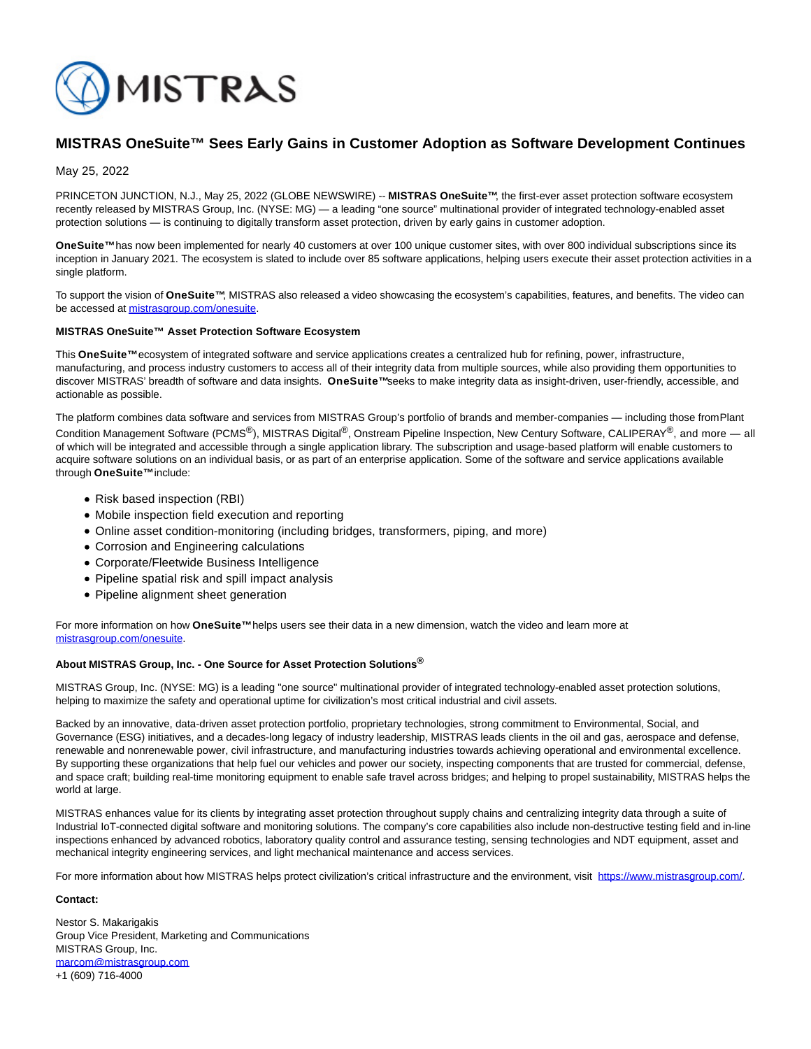

## **MISTRAS OneSuite™ Sees Early Gains in Customer Adoption as Software Development Continues**

May 25, 2022

PRINCETON JUNCTION, N.J., May 25, 2022 (GLOBE NEWSWIRE) -- MISTRAS OneSuite™, the first-ever asset protection software ecosystem recently released by MISTRAS Group, Inc. (NYSE: MG) — a leading "one source" multinational provider of integrated technology-enabled asset protection solutions — is continuing to digitally transform asset protection, driven by early gains in customer adoption.

**OneSuite™** has now been implemented for nearly 40 customers at over 100 unique customer sites, with over 800 individual subscriptions since its inception in January 2021. The ecosystem is slated to include over 85 software applications, helping users execute their asset protection activities in a single platform.

To support the vision of **OneSuite™**, MISTRAS also released a video showcasing the ecosystem's capabilities, features, and benefits. The video can be accessed a[t mistrasgroup.com/onesuite.](https://www.globenewswire.com/Tracker?data=Dz6xHlD1rUBTyvYq_Sc3Ge46roVtIFj_x0-PcjKKAS2YDoKDhyWpGQ9AkLeziRg4fu1lKABXykhje1_F024XzyddSUuYdrNvEBWF40qyHs-sAt8fpd_DVP6kGhmejHQ9)

## **MISTRAS OneSuite™ Asset Protection Software Ecosystem**

This **OneSuite™** ecosystem of integrated software and service applications creates a centralized hub for refining, power, infrastructure, manufacturing, and process industry customers to access all of their integrity data from multiple sources, while also providing them opportunities to discover MISTRAS' breadth of software and data insights. OneSuite™seeks to make integrity data as insight-driven, user-friendly, accessible, and actionable as possible.

The platform combines data software and services from MISTRAS Group's portfolio of brands and member-companies — including those from Plant Condition Management Software (PCMS<sup>®</sup>), MISTRAS Digital<sup>®</sup>, Onstream Pipeline Inspection, New Century Software, CALIPERAY<sup>®</sup>, and more — all of which will be integrated and accessible through a single application library. The subscription and usage-based platform will enable customers to acquire software solutions on an individual basis, or as part of an enterprise application. Some of the software and service applications available through **OneSuite™** include:

- Risk based inspection (RBI)
- Mobile inspection field execution and reporting
- Online asset condition-monitoring (including bridges, transformers, piping, and more)
- Corrosion and Engineering calculations
- Corporate/Fleetwide Business Intelligence
- Pipeline spatial risk and spill impact analysis
- Pipeline alignment sheet generation

For more information on how **OneSuite™** helps users see their data in a new dimension, watch the video and learn more at [mistrasgroup.com/onesuite.](https://www.globenewswire.com/Tracker?data=Dz6xHlD1rUBTyvYq_Sc3Ge46roVtIFj_x0-PcjKKAS0eEmokO19wNNoxoRbfQboS5qjreyxOHKl7DRUdqyJ_W6Nfu4WxYq02IPZ-D5hrECJogaHD2vBGnm3gnzgY51og)

## **About MISTRAS Group, Inc. - One Source for Asset Protection Solutions®**

MISTRAS Group, Inc. (NYSE: MG) is a leading "one source" multinational provider of integrated technology-enabled asset protection solutions, helping to maximize the safety and operational uptime for civilization's most critical industrial and civil assets.

Backed by an innovative, data-driven asset protection portfolio, proprietary technologies, strong commitment to Environmental, Social, and Governance (ESG) initiatives, and a decades-long legacy of industry leadership, MISTRAS leads clients in the oil and gas, aerospace and defense, renewable and nonrenewable power, civil infrastructure, and manufacturing industries towards achieving operational and environmental excellence. By supporting these organizations that help fuel our vehicles and power our society, inspecting components that are trusted for commercial, defense, and space craft; building real-time monitoring equipment to enable safe travel across bridges; and helping to propel sustainability, MISTRAS helps the world at large.

MISTRAS enhances value for its clients by integrating asset protection throughout supply chains and centralizing integrity data through a suite of Industrial IoT-connected digital software and monitoring solutions. The company's core capabilities also include non-destructive testing field and in-line inspections enhanced by advanced robotics, laboratory quality control and assurance testing, sensing technologies and NDT equipment, asset and mechanical integrity engineering services, and light mechanical maintenance and access services.

For more information about how MISTRAS helps protect civilization's critical infrastructure and the environment, visit [https://www.mistrasgroup.com/.](https://www.globenewswire.com/Tracker?data=4cjTok7Ty1L32_CN7XKisSdkQVLTyb8PuGr11vPyfoLxJgtZHoizdxMbENILyj60Sw1p_8gu8AQQfEvWXcw3pqSbpoCBshsawQdocMrJB2xIaZMvkITuoW6hBGLo9Zk1)

## **Contact:**

Nestor S. Makarigakis Group Vice President, Marketing and Communications MISTRAS Group, Inc. [marcom@mistrasgroup.com](https://www.globenewswire.com/Tracker?data=nMv1JXe3ODZRi7EurIF1V8cGsxPK3w_c26o8n-Rg-xUBf5maUjUKAUd6MVkr1dSsmoC2gmwMQNHOAfmwnfJqcR12YgMR6PiTeIYPF0XsMUw=) +1 (609) 716-4000